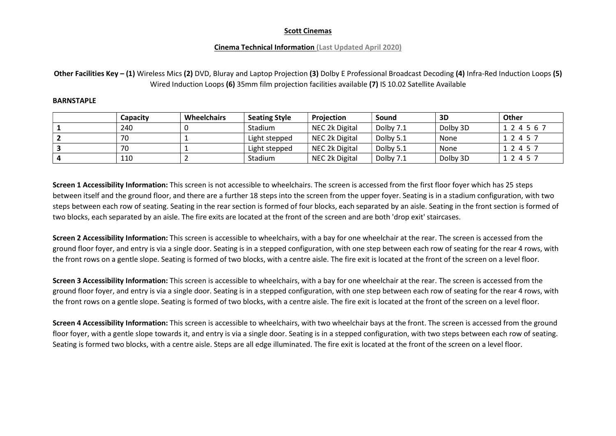# Cinema Technical Information (Last Updated April 2020)

Other Facilities Key – (1) Wireless Mics (2) DVD, Bluray and Laptop Projection (3) Dolby E Professional Broadcast Decoding (4) Infra-Red Induction Loops (5) Wired Induction Loops (6) 35mm film projection facilities available (7) IS 10.02 Satellite Available

### **BARNSTAPLE**

| Capacitv | <b>Wheelchairs</b> | <b>Seating Style</b> | <b>Projection</b> | Sound     | 3D       | Other       |
|----------|--------------------|----------------------|-------------------|-----------|----------|-------------|
| 240      |                    | Stadium              | NEC 2k Digital    | Dolby 7.1 | Dolby 3D | 1 2 4 5 6 7 |
| 70       |                    | Light stepped        | NEC 2k Digital    | Dolby 5.1 | None     | 1 2 4 5 7   |
| 70       |                    | Light stepped        | NEC 2k Digital    | Dolby 5.1 | None     | 1 2 4 5 7   |
| 110      |                    | Stadium              | NEC 2k Digital    | Dolby 7.1 | Dolby 3D | 1 2 4 5 7   |

Screen 1 Accessibility Information: This screen is not accessible to wheelchairs. The screen is accessed from the first floor foyer which has 25 steps between itself and the ground floor, and there are a further 18 steps into the screen from the upper foyer. Seating is in a stadium configuration, with two steps between each row of seating. Seating in the rear section is formed of four blocks, each separated by an aisle. Seating in the front section is formed of two blocks, each separated by an aisle. The fire exits are located at the front of the screen and are both 'drop exit' staircases.

Screen 2 Accessibility Information: This screen is accessible to wheelchairs, with a bay for one wheelchair at the rear. The screen is accessed from the ground floor foyer, and entry is via a single door. Seating is in a stepped configuration, with one step between each row of seating for the rear 4 rows, with the front rows on a gentle slope. Seating is formed of two blocks, with a centre aisle. The fire exit is located at the front of the screen on a level floor.

Screen 3 Accessibility Information: This screen is accessible to wheelchairs, with a bay for one wheelchair at the rear. The screen is accessed from the ground floor foyer, and entry is via a single door. Seating is in a stepped configuration, with one step between each row of seating for the rear 4 rows, with the front rows on a gentle slope. Seating is formed of two blocks, with a centre aisle. The fire exit is located at the front of the screen on a level floor.

Screen 4 Accessibility Information: This screen is accessible to wheelchairs, with two wheelchair bays at the front. The screen is accessed from the ground floor foyer, with a gentle slope towards it, and entry is via a single door. Seating is in a stepped configuration, with two steps between each row of seating. Seating is formed two blocks, with a centre aisle. Steps are all edge illuminated. The fire exit is located at the front of the screen on a level floor.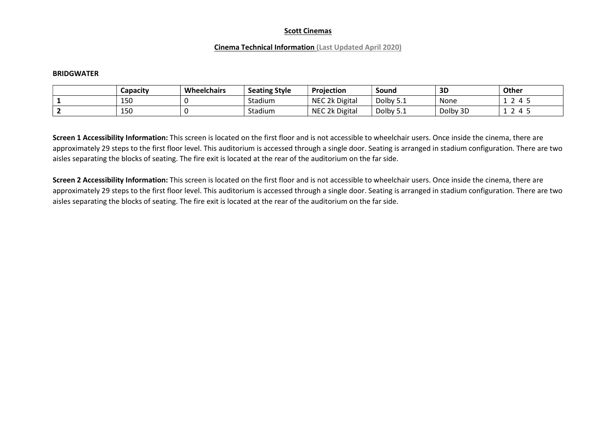### Cinema Technical Information (Last Updated April 2020)

#### **BRIDGWATER**

| Capacity | Wheelchairs | <b>Seating Style</b> | Projection     | Sound            | 3D       | <b>Other</b>                   |
|----------|-------------|----------------------|----------------|------------------|----------|--------------------------------|
| 150      |             | Stadium              | NEC 2k Digital | Dolby !<br>ـ . ـ | None     | $\overline{\phantom{a}}$<br>-- |
| 150      |             | Stadium              | NEC 2k Digital | Dolby<br>ـ . ـ   | Dolby 3D | -                              |

Screen 1 Accessibility Information: This screen is located on the first floor and is not accessible to wheelchair users. Once inside the cinema, there are approximately 29 steps to the first floor level. This auditorium is accessed through a single door. Seating is arranged in stadium configuration. There are two aisles separating the blocks of seating. The fire exit is located at the rear of the auditorium on the far side.

Screen 2 Accessibility Information: This screen is located on the first floor and is not accessible to wheelchair users. Once inside the cinema, there are approximately 29 steps to the first floor level. This auditorium is accessed through a single door. Seating is arranged in stadium configuration. There are two aisles separating the blocks of seating. The fire exit is located at the rear of the auditorium on the far side.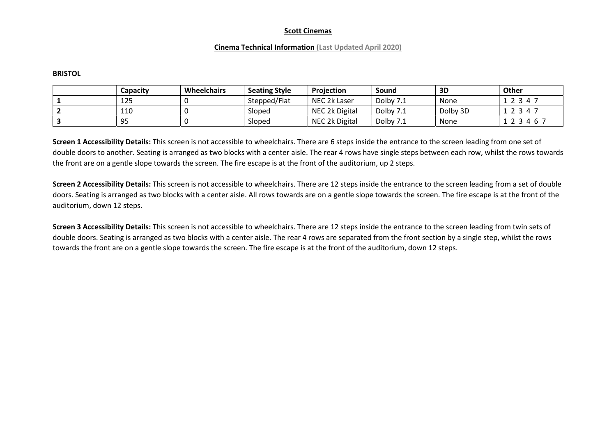### Cinema Technical Information (Last Updated April 2020)

#### **BRISTOL**

| Capacitv | <b>Wheelchairs</b> | <b>Seating Style</b> | Projection     | Sound     | 3D       | <b>Other</b> |
|----------|--------------------|----------------------|----------------|-----------|----------|--------------|
| 125      |                    | Stepped/Flat         | NEC 2k Laser   | Dolby 7.1 | None     | 2 3 4 7      |
| 110      |                    | Sloped               | NEC 2k Digital | Dolby 7.1 | Dolby 3D | 2 3 4 7      |
| 95       |                    | Sloped               | NEC 2k Digital | Dolby 7.1 | None     | 2 3 4 6 7    |

Screen 1 Accessibility Details: This screen is not accessible to wheelchairs. There are 6 steps inside the entrance to the screen leading from one set of double doors to another. Seating is arranged as two blocks with a center aisle. The rear 4 rows have single steps between each row, whilst the rows towards the front are on a gentle slope towards the screen. The fire escape is at the front of the auditorium, up 2 steps.

Screen 2 Accessibility Details: This screen is not accessible to wheelchairs. There are 12 steps inside the entrance to the screen leading from a set of double doors. Seating is arranged as two blocks with a center aisle. All rows towards are on a gentle slope towards the screen. The fire escape is at the front of the auditorium, down 12 steps.

Screen 3 Accessibility Details: This screen is not accessible to wheelchairs. There are 12 steps inside the entrance to the screen leading from twin sets of double doors. Seating is arranged as two blocks with a center aisle. The rear 4 rows are separated from the front section by a single step, whilst the rows towards the front are on a gentle slope towards the screen. The fire escape is at the front of the auditorium, down 12 steps.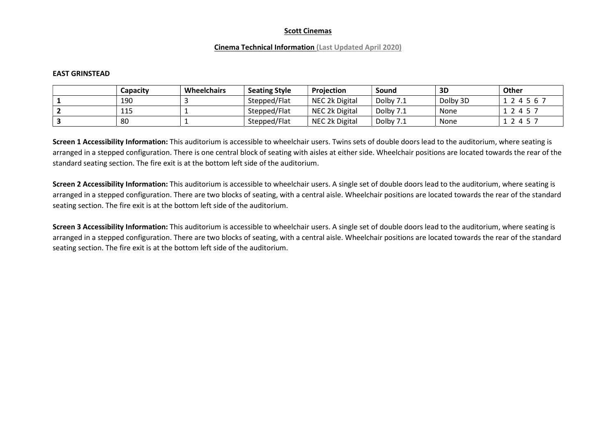### Cinema Technical Information (Last Updated April 2020)

#### EAST GRINSTEAD

| Capacitv  | <b>Wheelchairs</b> | <b>Seating Style</b> | Proiection     | Sound     | 3D       | Other   |
|-----------|--------------------|----------------------|----------------|-----------|----------|---------|
| 190       |                    | Stepped/Flat         | NEC 2k Digital | Dolby 7.1 | Dolby 3D | 4567    |
| 115<br>ᆂᅸ |                    | Stepped/Flat         | NEC 2k Digital | Dolby 7.1 | None     | 2 4 5 7 |
| 80        |                    | Stepped/Flat         | NEC 2k Digital | Dolby 7.1 | None     | 2 4 5 7 |

Screen 1 Accessibility Information: This auditorium is accessible to wheelchair users. Twins sets of double doors lead to the auditorium, where seating is arranged in a stepped configuration. There is one central block of seating with aisles at either side. Wheelchair positions are located towards the rear of the standard seating section. The fire exit is at the bottom left side of the auditorium.

Screen 2 Accessibility Information: This auditorium is accessible to wheelchair users. A single set of double doors lead to the auditorium, where seating is arranged in a stepped configuration. There are two blocks of seating, with a central aisle. Wheelchair positions are located towards the rear of the standard seating section. The fire exit is at the bottom left side of the auditorium.

Screen 3 Accessibility Information: This auditorium is accessible to wheelchair users. A single set of double doors lead to the auditorium, where seating is arranged in a stepped configuration. There are two blocks of seating, with a central aisle. Wheelchair positions are located towards the rear of the standard seating section. The fire exit is at the bottom left side of the auditorium.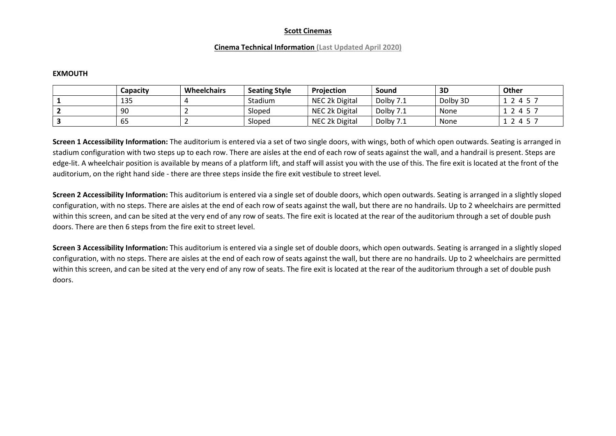### Cinema Technical Information (Last Updated April 2020)

#### EXMOUTH

| Capacity | <b>Wheelchairs</b> | <b>Seating Style</b> | <b>Projection</b> | Sound     | 3D       | <b>Other</b> |
|----------|--------------------|----------------------|-------------------|-----------|----------|--------------|
| 135      |                    | Stadium              | NEC 2k Digital    | Dolby 7.1 | Dolby 3D | 2 4 5 7      |
| 90       |                    | Sloped               | NEC 2k Digital    | Dolby 7.1 | None     | 1245         |
| --<br>כס |                    | Sloped               | NEC 2k Digital    | Dolby 7.1 | None     | 2 4 5 7      |

Screen 1 Accessibility Information: The auditorium is entered via a set of two single doors, with wings, both of which open outwards. Seating is arranged in stadium configuration with two steps up to each row. There are aisles at the end of each row of seats against the wall, and a handrail is present. Steps are edge-lit. A wheelchair position is available by means of a platform lift, and staff will assist you with the use of this. The fire exit is located at the front of the auditorium, on the right hand side - there are three steps inside the fire exit vestibule to street level.

Screen 2 Accessibility Information: This auditorium is entered via a single set of double doors, which open outwards. Seating is arranged in a slightly sloped configuration, with no steps. There are aisles at the end of each row of seats against the wall, but there are no handrails. Up to 2 wheelchairs are permitted within this screen, and can be sited at the very end of any row of seats. The fire exit is located at the rear of the auditorium through a set of double push doors. There are then 6 steps from the fire exit to street level.

Screen 3 Accessibility Information: This auditorium is entered via a single set of double doors, which open outwards. Seating is arranged in a slightly sloped configuration, with no steps. There are aisles at the end of each row of seats against the wall, but there are no handrails. Up to 2 wheelchairs are permitted within this screen, and can be sited at the very end of any row of seats. The fire exit is located at the rear of the auditorium through a set of double push doors.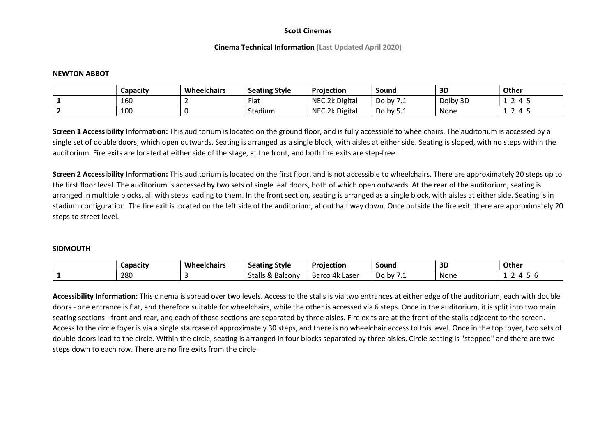### Cinema Technical Information (Last Updated April 2020)

#### NEWTON ABBOT

| Capacity | <b>Wheelchairs</b> | <b>Seating Style</b> | Projection     | Sound          | 3D       | <b>Other</b>      |
|----------|--------------------|----------------------|----------------|----------------|----------|-------------------|
| 160      |                    | Flat                 | NEC 2k Digital | Dolby<br>.     | Dolby 3D | $\mathbf{u}$      |
| 100      |                    | Stadium              | NEC 2k Digital | Dolby 5<br>ـ ت | None     | ∽<br>$\mathbf{u}$ |

Screen 1 Accessibility Information: This auditorium is located on the ground floor, and is fully accessible to wheelchairs. The auditorium is accessed by a single set of double doors, which open outwards. Seating is arranged as a single block, with aisles at either side. Seating is sloped, with no steps within the auditorium. Fire exits are located at either side of the stage, at the front, and both fire exits are step-free.

Screen 2 Accessibility Information: This auditorium is located on the first floor, and is not accessible to wheelchairs. There are approximately 20 steps up to the first floor level. The auditorium is accessed by two sets of single leaf doors, both of which open outwards. At the rear of the auditorium, seating is arranged in multiple blocks, all with steps leading to them. In the front section, seating is arranged as a single block, with aisles at either side. Seating is in stadium configuration. The fire exit is located on the left side of the auditorium, about half way down. Once outside the fire exit, there are approximately 20 steps to street level.

#### SIDMOUTH

| . .<br>Capacity | <b>Wheelchairs</b> | <b>Style</b><br>. .<br>Seating              | <b>Projection</b>             | Sound      | 5г<br>ᇰᆫ | Other |
|-----------------|--------------------|---------------------------------------------|-------------------------------|------------|----------|-------|
| 280             |                    | $\sim$<br><br>Stalls<br>Balcony<br>$\alpha$ | - Barcc<br>، 4k Laser د<br>ັບ | Dolby<br>. | None     | . .   |

Accessibility Information: This cinema is spread over two levels. Access to the stalls is via two entrances at either edge of the auditorium, each with double doors - one entrance is flat, and therefore suitable for wheelchairs, while the other is accessed via 6 steps. Once in the auditorium, it is split into two main seating sections - front and rear, and each of those sections are separated by three aisles. Fire exits are at the front of the stalls adjacent to the screen. Access to the circle foyer is via a single staircase of approximately 30 steps, and there is no wheelchair access to this level. Once in the top foyer, two sets of double doors lead to the circle. Within the circle, seating is arranged in four blocks separated by three aisles. Circle seating is "stepped" and there are two steps down to each row. There are no fire exits from the circle.